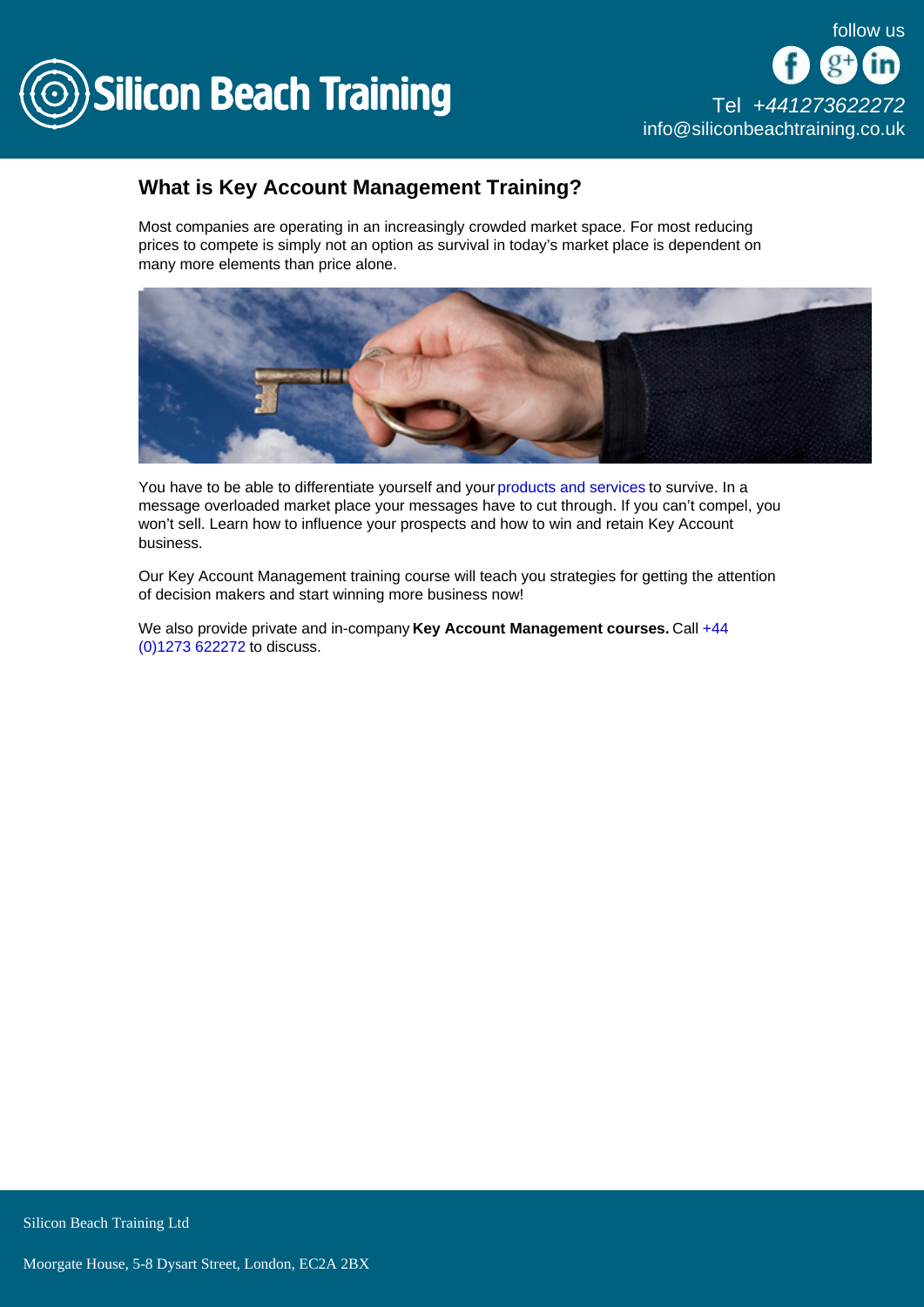

## What is Key Account Management Training?

Most companies are operating in an increasingly crowded market space. For most reducing prices to compete is simply not an option as survival in today's market place is dependent on many more elements than price alone.

You have to be able to differentiate yourself and your [products and services](/sales-training) to survive. In a message overloaded market place your messages have to cut through. If you can't compel, you won't sell. Learn how to influence your prospects and how to win and retain Key Account business.

Our Key Account Management training course will teach you strategies for getting the attention of decision makers and start winning more business now!

We also provide private and in-company Key Account Management courses. Call +44 [\(0\)1273 622272](tel:441273622272) to discuss.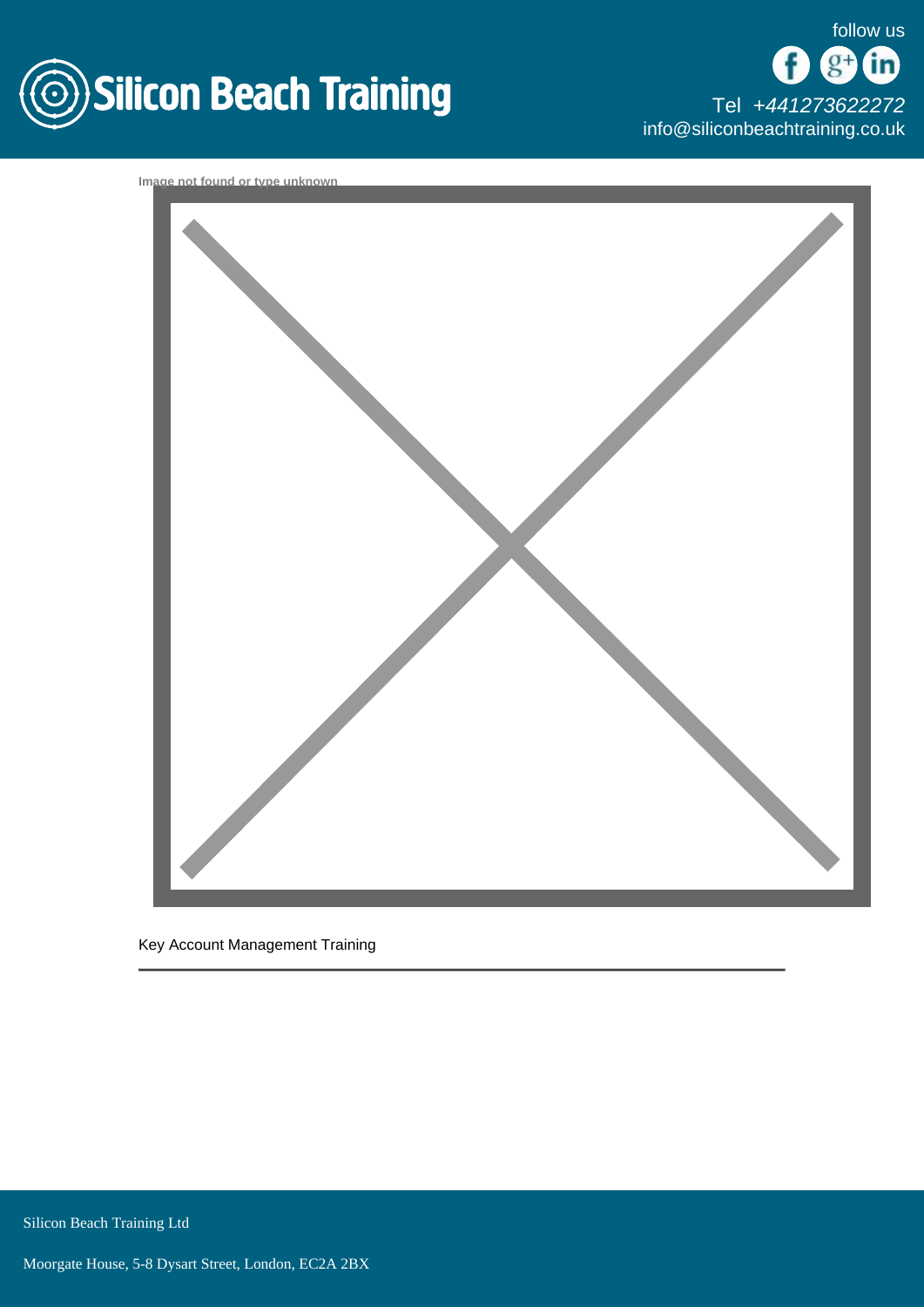

[Tel +44](tel:+441273622272)1273622272 [info@siliconbeachtraining.co.uk](/var/www/html/siliconbeachtraining.co.uk/public/mailTo:info@siliconbeachtraining.co.uk)



Key Account Management Training

Silicon Beach Training Ltd

Moorgate House, 5-8 Dysart Street, London, EC2A 2BX